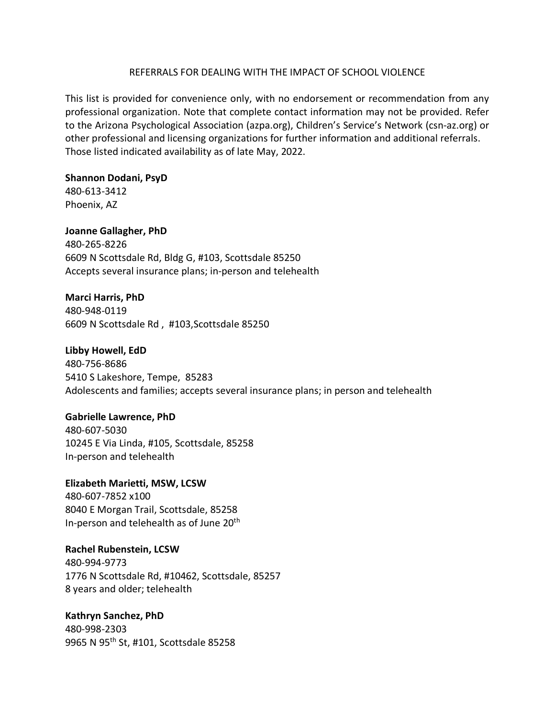#### REFERRALS FOR DEALING WITH THE IMPACT OF SCHOOL VIOLENCE

This list is provided for convenience only, with no endorsement or recommendation from any professional organization. Note that complete contact information may not be provided. Refer to the Arizona Psychological Association (azpa.org), Children's Service's Network (csn-az.org) or other professional and licensing organizations for further information and additional referrals. Those listed indicated availability as of late May, 2022.

# **Shannon Dodani, PsyD**

480-613-3412 Phoenix, AZ

### **Joanne Gallagher, PhD**

480-265-8226 6609 N Scottsdale Rd, Bldg G, #103, Scottsdale 85250 Accepts several insurance plans; in-person and telehealth

# **Marci Harris, PhD**

480-948-0119 6609 N Scottsdale Rd , #103,Scottsdale 85250

**Libby Howell, EdD**  480-756-8686 5410 S Lakeshore, Tempe, 85283

Adolescents and families; accepts several insurance plans; in person and telehealth

### **Gabrielle Lawrence, PhD**

480-607-5030 10245 E Via Linda, #105, Scottsdale, 85258 In-person and telehealth

# **Elizabeth Marietti, MSW, LCSW**  480-607-7852 x100 8040 E Morgan Trail, Scottsdale, 85258 In-person and telehealth as of June 20<sup>th</sup>

### **Rachel Rubenstein, LCSW**

480-994-9773 1776 N Scottsdale Rd, #10462, Scottsdale, 85257 8 years and older; telehealth

# **Kathryn Sanchez, PhD**

480-998-2303 9965 N 95th St, #101, Scottsdale 85258